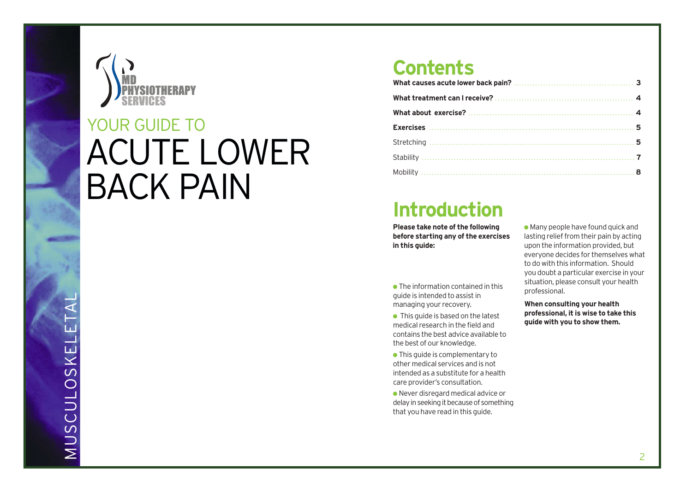

# ACUTE LOWER BACK PAIN YOUR GUIDE TO

### **Contents**

## **Introduction**

**Please take note of the following before starting any of the exercises in this guide:**

- $\bullet$  The information contained in this guide is intended to assistin managing your recovery.
- $\bullet$  This quide is based on the latest medical research in the field and contains the best advice available to the best of our knowledge.
- This guide is complementary to other medical services and is not intended as a substitute for a health care provider's consultation.
- Never disregard medical advice or delay in seeking it because of something that you have read in this guide.

 $\bullet$  Many people have found quick and lasting relief from their pain by acting upon the information provided, but everyone decides for themselves what to do with this information. Should you doubt a particular exercise in your situation, please consult your health professional.

**When consulting your health professional, it is wise to take this guide with you to show them.**

 $\geq$  $\Box$  $\mathcal{S}_{\mathcal{S}}$  $\bigcup$  $\Box$ L O  $\mathcal{S}_{\mathcal{S}}$  $\leq$ E L ET $\blacktriangleleft$ L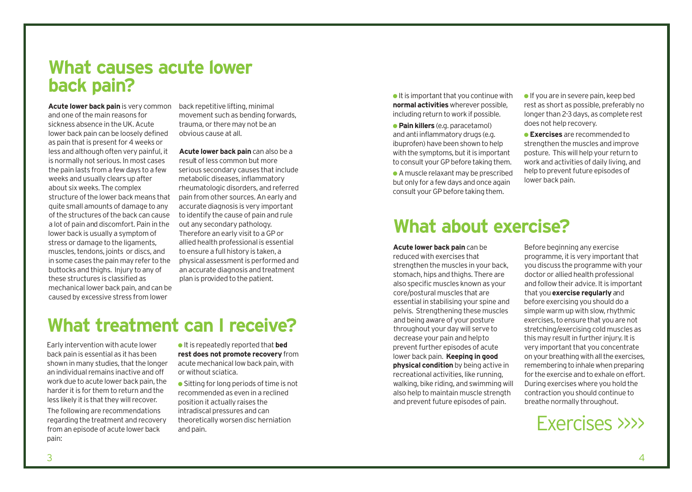### **What causes acute lower back pain?**

**Acute lower back pain** is very common back repetitive lifting, minimal and one of the main reasons for sickness absence in the UK. Acute lower back pain can be loosely defined as pain that is present for 4 weeks or less and although often very painful, it is normally not serious. In most cases the pain lasts from a few days to a few weeks and usually clears up after about six weeks. The complex structure of the lower back means that quite small amounts of damage to any of the structures of the back can cause a lot of pain and discomfort. Pain in the lower back is usually a symptom of stress or damage to the ligaments, muscles, tendons, joints or discs, and in some cases the pain may refer to the buttocks and thighs. Injury to any of these structures is classified as mechanical lower back pain, and can be caused by excessive stress from lower

movement such as bending forwards, trauma, or there may not be an obvious cause at all.

**Acute lower back pain** can also be a result of less common but more serious secondary causes that include metabolic diseases, inflammatory rheumatologic disorders, and referred pain from other sources.An early and accurate diagnosis is very important to identify the cause of pain and rule out any secondary pathology. Therefore an early visit to a GP or allied health professional is essential to ensure a full history is taken, a physical assessmentis performed and an accurate diagnosis and treatment plan is provided to the patient.

### **What treatment can I receive?**

Early intervention with acute lower back pain is essential as it has been shown in many studies, that the longer an individual remains inactive and off work due to acute lower back pain, the harder it is for them to return and the less likely it is that they will recover.

The following are recommendations regarding the treatment and recovery from an episode of acute lower back pain:

● Itis repeatedly reported that **bed rest does not promote recovery** from acute mechanical low back pain, with or without sciatica.

 $\bullet$  Sitting for long periods of time is not recommended as even in a reclined position it actually raises the intradiscal pressures and can theoretically worsen disc herniation and pain.

 $\bullet$  It is important that you continue with **normal activities**wherever possible, including return to work if possible.

● **Pain killers** (e.g. paracetamol) and anti inflammatory drugs (e.g. ibuprofen) have been shown to help with the symptoms, but it is important to consult your GP before taking them.

● A muscle relaxant may be prescribed but only for a fewdays and once again consult your GP before taking them.

● If you are in severe pain, keep bed rest as short as possible, preferably no longer than 2-3 days, as complete rest does not help recovery.

● **Exercises** are recommended to strengthen the muscles and improve posture. This will help your return to work and activities of daily living, and help to prevent future episodes of lower back pain.

### **What about exercise?**

**Acute lower back pain** can be reduced with exercises that strengthen the muscles in your back, stomach, hips and thighs. There are also specific muscles known as your core/postural muscles that are essential in stabilising your spine and pelvis. Strengthening these muscles and being aware of your posture throughout your day will serve to decrease your pain and helpto prevent further episodes of acute lower back pain. **Keeping in good physical condition** by being active in recreational activities, like running, walking, bike riding, and swimming will also help to maintain muscle strength and prevent future episodes of pain.

Before beginning any exercise programme, it is very important that you discuss the programme with your doctor or allied health professional and follow their advice. It is important that you **exercise regularly** and before exercising you should do a simple warm up with slow, rhythmic exercises, to ensure that you are not stretching/exercising cold muscles as this may result in further injury. It is very important that you concentrate on your breathing with all the exercises. remembering to inhale when preparing for the exercise and to exhale on effort. During exercises where you hold the contraction you should continue to breathe normally throughout.

Exercises >>>>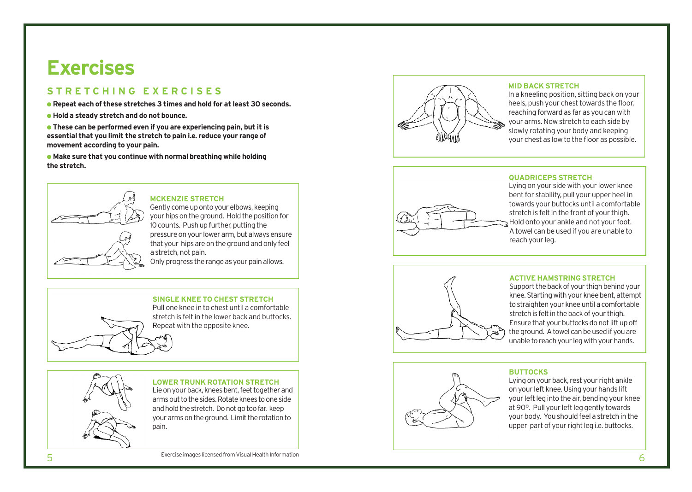## **Exercises**

### **S T R E T C H I N G E X E R C I S E S**

- $\bullet$  Repeat each of these stretches 3 times and hold for at least 30 seconds.
- . Hold a steady stretch and do not bounce.
- These can be performed even if you are experiencing pain, but it is essential that you limit the stretch to pain i.e. reduce your range of movement according to your pain.

• Make sure that you continue with normal breathing while holding **t h e s t r e t c h .**



#### **MCKENZIE STRETCH**

Gently come up onto your elbows, keeping your hips on the ground. Hold the position for 10 counts. Push up further, putting the pressure on your lower arm, but always ensure that your hips are on the ground and only feel a stretch, not pain.

Only progress the range as your pain allows.

#### **SINGLE KNEE TO CHEST STRETCH**

Pull one knee in to chest until a comfortable stretch is felt in the lower back and buttocks. Repeat with the opposite knee.

#### **LOWER TRUNK ROTATION STRETCH**

Lie on your back, knees bent, feet together and arms out to the sides. Rotate knees to one side and hold the stretch. Do not go too far, keep your arms on the ground. Limit the rotation to pain.



#### **MID BACK STRETCH**

In a kneeling position, sitting back on your heels, push your chest towards the floor, reaching forward as far as you can with your arms. Now stretch to each side by slowly rotating your body and keeping your chest as low to the floor as possible.



#### **QUADRICEPS STRETCH**

Lying on your side with your lower knee bent for stability, pull your upper heel in towards your buttocks until a comfortable stretch is felt in the front of your thigh. Hold onto your ankle and not your foot. A towel can be used if you are unable to reach your leg.



#### **ACTIVE HAMSTRING STRETCH**

Support the back of your thigh behind your knee. Starting with your knee bent, attempt to straighten your knee until a comfortable stretch is felt in the back of your thigh. Ensure that your buttocks do not lift up off the ground. A towel can be used if you are unable to reach your leg with your hands.



#### BUTTOCKS

Lying on your back, rest your right ankle on your left knee. Using your hands lift your left leg into the air, bending your knee at 90°. Pull your left leg gently towards your body. You should feel a stretch in the upper part of your right leg i.e. buttocks.

5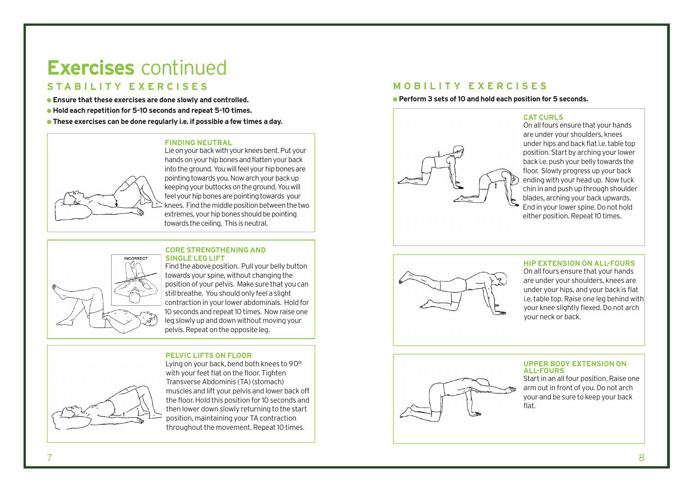## **Exercises** continued

#### **S T A B I L I T Y E X E R C I S E S**

- **Ensure that these exercises are done slowly and controlled.**
- **Hold each repetition for 5-10 seconds and repeat 5-10 times.**
- **These exercises can be done regularly i.e. if possible a few times a day.**

#### **FINDING NEUTRAL**



Lie on your back with your knees bent. Put your hands on your hip bones and flatten your back into the ground. You will feel your hip bones are pointing towards you. Now arch your back up keeping your buttocks on the ground. You will feel your hip bones are pointing towards your knees. Find the middle position between the two extremes, your hip bones should be pointing towards the ceiling. This is neutral.



#### **CORE STRENGTHENING AND SINGLE LEG LIFT**

Find the above position. Pull your belly button towards your spine, without changing the position of your pelvis. Make sure that you can still breathe. You should only feel a slight contraction in your lower abdominals. Hold for 10 seconds and repeat 10 times. Now raise one leg slowly up and downwithout moving your pelvis.Repeat on the opposite leg.

#### **PELVIC LIFTS ON FLOOR**



Lying on your back, bend both knees to 90° with your feet flat on the floor. Tighten Transverse Abdominis (TA) (stomach) muscles and lift your pelvis and lower back off the floor. Hold this position for 10 seconds and then lower down slowly returning to the start position, maintaining your TAcontraction throughout the movement. Repeat 10 times.

### **M O B I L I T Y E X E R C I S E S**

● **Perform 3 sets of10 and hold each position for 5 seconds.**



#### On allfours ensure that your hands are under your shoulders, knees under hips and back flati.e.table top position.Start by arching your lower back i.e. push your belly towards the floor. Slowly progress up your back ending with your head up. Now tuck chin in and push up through shoulder blades, arching your back upwards. End in your lower spine. Do not hold either position. Repeat 10 times.



#### **HIP EXTENSION ON ALL-FOURS**

On allfours ensure that your hands are under your shoulders, knees are under your hips, and your back is flat i.e. table top. Raise one leg behind with your knee slightly flexed.Do not arch your neck or back.

#### **UPPER BODY EXTENSION ON ALL-FOURS**

Start in an all four position. Raise one arm out in front of you. Do not arch your and be sure to keep your back flat.